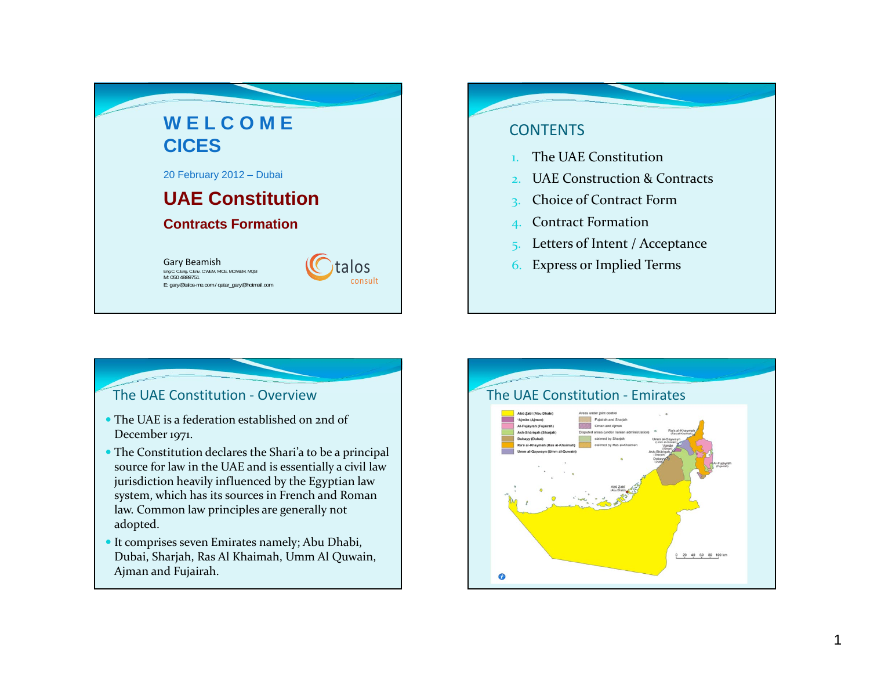

# **CONTENTS**

- 1.The UAE Constitution
- 2.UAE Construction & Contracts
- 3. Choice of Contract Form
- 4. Contract Formation
- 5. Letters of Intent / Acceptance
- 6. Express or Implied Terms

# The UAE Constitution ‐ Overview

- The UAE is <sup>a</sup> federation established on 2nd of December 1971.
- The Constitution declares the Shari'a to be <sup>a</sup> principal source for law in the UAE and is essentially <sup>a</sup> civil law jurisdiction heavily influenced by the Egyptian law system, which has its sources in French and Roman law. Common law principles are generally not adopted.
- It comprises seven Emirates namely; Abu Dhabi, Dubai, Sharjah, Ras Al Khaimah, Umm Al Quwain, Ajman and Fujairah.

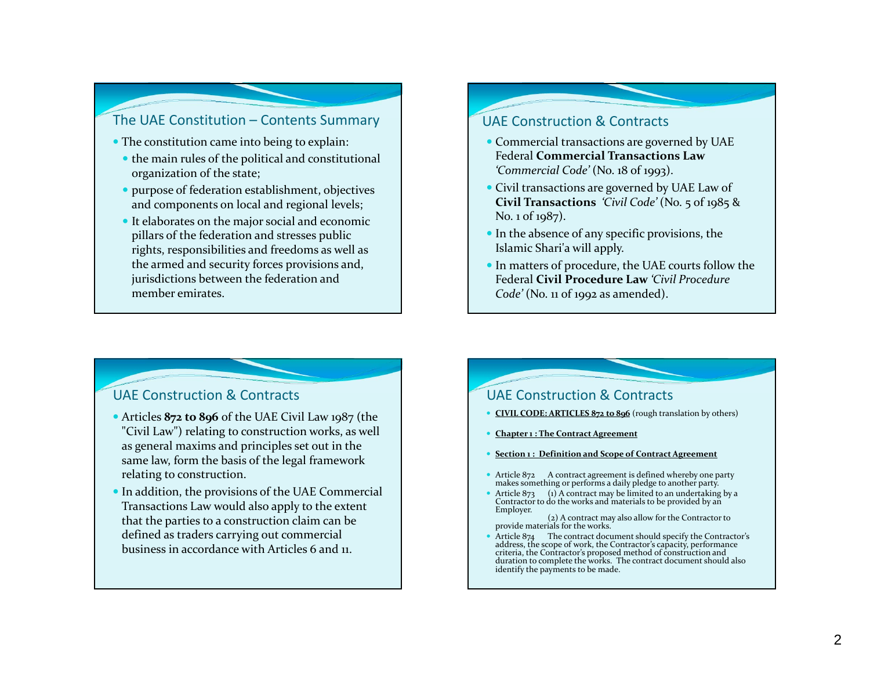### The UAE Constitution – Contents Summary

- The constitution came into being to explain:
	- the main rules of the political and constitutional organization of the state;
- purpose of federation establishment, objectives and components on local and regional levels;
- It elaborates on the major social and economic pillars of the federation and stresses public rights, responsibilities and freedoms as well as the armed and security forces provisions and, jurisdictions between the federation and member emirates.

#### UAE Construction & Contracts

- Commercial transactions are governed by UAE Federal **Commercial Transactions Law***'Commercial Code'* (No. <sup>18</sup> of 1993).
- Civil transactions are governed by UAE Law of **Civil Transactions** *'Civil Code'* (No. <sup>5</sup> of <sup>19</sup>85 & No. 1 of <sup>19</sup>87).
- In the absence of any specific provisions, the Islamic Shari'a will apply.
- In matters of procedure, the UAE courts follow the Federal **Civil Procedure Law** *'Civil Procedure Code'* (No. <sup>11</sup> of <sup>1992</sup> as amended).

### UAE Construction & Contracts

- Articles **872 to 896** of the UAE Civil Law <sup>19</sup>87 (the "Civil Law") relating to construction works, as well as general maxims and principles set out in the same law, form the basis of the legal framework relating to construction.
- In addition, the provisions of the UAE Commercial Transactions Law would also apply to the extent that the parties to <sup>a</sup> construction claim can be defined as traders carrying out commercial business in accordance with Articles 6 and 11.

### UAE Construction & Contracts

- **CIVIL CODE: ARTICLES 872 to 896** (rough translation by others)
- ۰ **Chapter <sup>1</sup> : The Contract Agreement**
- o **Section <sup>1</sup> : Definition and Scope of Contract Agreement**
- Article <sup>872</sup> <sup>A</sup> contract agreemen<sup>t</sup> is defined whereby one party makes something or performs <sup>a</sup> daily pledge to another party.
- Article 873 (1) A contract may be limited to an undertaking by a<br>Contractor to do the works and materials to be provided by an<br>Employer. (2) A contract may also allow for the Contractor to
	- provide materials for the works.
- . Article 874 The contract document should specify the Contractor's address, the scope of work, the Contractor's capacity, performance criteria, the Contractor's proposed method of construction and criteria, the Contractor's proposed method of construction and<br>duration to complete the works. The contract document should also<br>identify the payments to be made.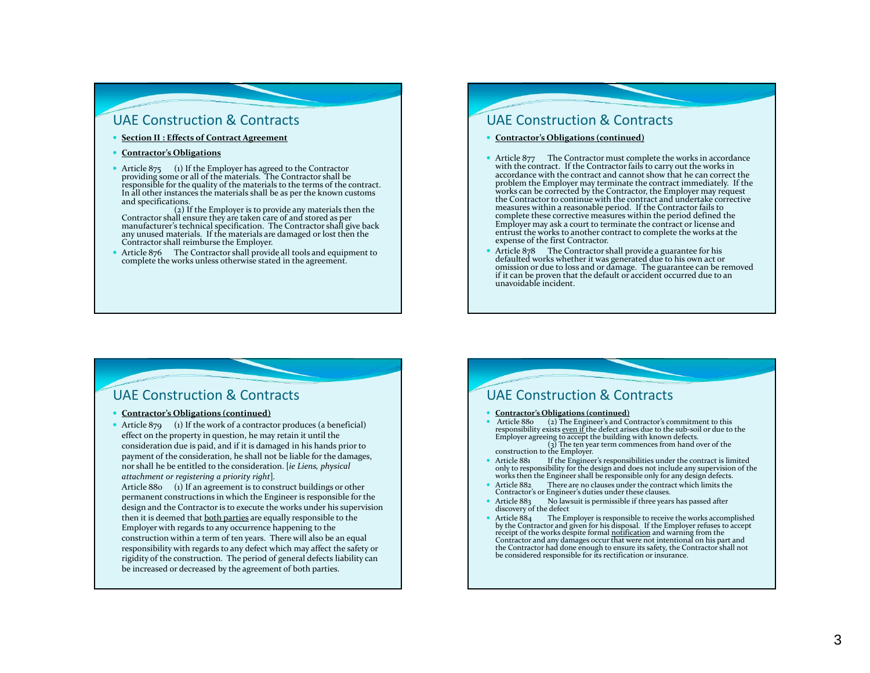- **Section II : Effects of Contract Agreement**
- **Contractor's Obligations**
- Article 875 (1) If the Employer has agreed to the Contractor providing some or all of the materials. The Contractor shall be responsible for the quality of the materials to the terms of the contract. In all other instances the materials shall be as per the known customs<br>and specifications.

and specifications.<br>(2) If the Employer is to provide any materials then the<br>Contractor shall ensure they are taken care of and stored as per<br>manufacturer's technical specification. The Contractor shall give back any unused materials. If the materials are damaged or lost then the Contractor shall reimburse the Employer.

• Article 876 The Contractor shall provide all tools and equipment to complete the works unless otherwise stated in the agreement.

# UAE Construction & Contracts

- **Contractor's Obligations (continued)**
- Article 877 The Contractor must complete the works in accordance with the contract. If the Contractor fails to carry out the works in with the contract. If the Contractor fails to carry out the works in<br>accordance with the contract and cannot show that he can correct the<br>problem the Employer may terminate the contract inmediately. If the<br>works can be cor complete these corrective measures within the period defined the Employer may ask <sup>a</sup> court to terminate the contract or license and entrust the works to another contract to complete the works at the expense of the first Contractor.
- . Article <sup>878</sup> The Contractor shall provide <sup>a</sup> guarantee for his defaulted works whether it was generated due to his own act or omission or due to loss and or dāmage. The guarantee can be removed<br>if it can be proven that the default or accident occurred due to an if it can be proven that the default or accident occurred due to an<br>unavoidable incident. unavoidable incident.

### UAE Construction & Contracts

#### **Contractor's Obligations (continued)**

• Article  $879$  (1) If the work of a contractor produces (a beneficial) effect on the property in question, he may retain it until the consideration due is paid, and if it is damaged in his hands prior to paymen<sup>t</sup> of the consideration, he shall not be liable for the damages, nor shall he be entitled to the consideration. [*ie Liens, <sup>p</sup>hysical attachment or registering <sup>a</sup> priority right*]*.*

Article 880 (1) If an agreemen<sup>t</sup> is to construct buildings or other permanen<sup>t</sup> constructions in which the Engineer is responsible for the design and the Contractor is to execute the works under his supervision then it is deemed that <u>both parties</u> are equally responsible to the Employer with regards to any occurrence happening to the construction within <sup>a</sup> term of ten years. There will also be an equal responsibility with regards to any defect which may affect the safety or rigidity of the construction. The period of general defects liability can be increased or decreased by the agreemen<sup>t</sup> of both parties.

# UAE Construction & Contracts **Contractor's Obligations (continued)** • Article 880 (2) The Engineer's and Contractor's commitment to this responsibility exists <u>even if</u> the defect arises due to the sub-soil or due to the Employer agreeing to accept the building with known defects.<br>Employe construction to the Employer. Article 881 If the Engineer's responsibilities under the contract is limited<br>only to responsibility for the design and does not include any supervision of the then the Engineer shall be responsible only for any design defects. Article 882 There are no clauses under the contract which limits the Contractor's or Engineer's duties under these clauses. Article  $883$  No lawsuit is permissible if three years has passed after discovery of the defect • Article 884 The Employer is responsible to receive the works accomplished by the Contractor and given for his disposal. If the Employer refuses to accept receipt of the works despite formal <u>notification</u> and warning fr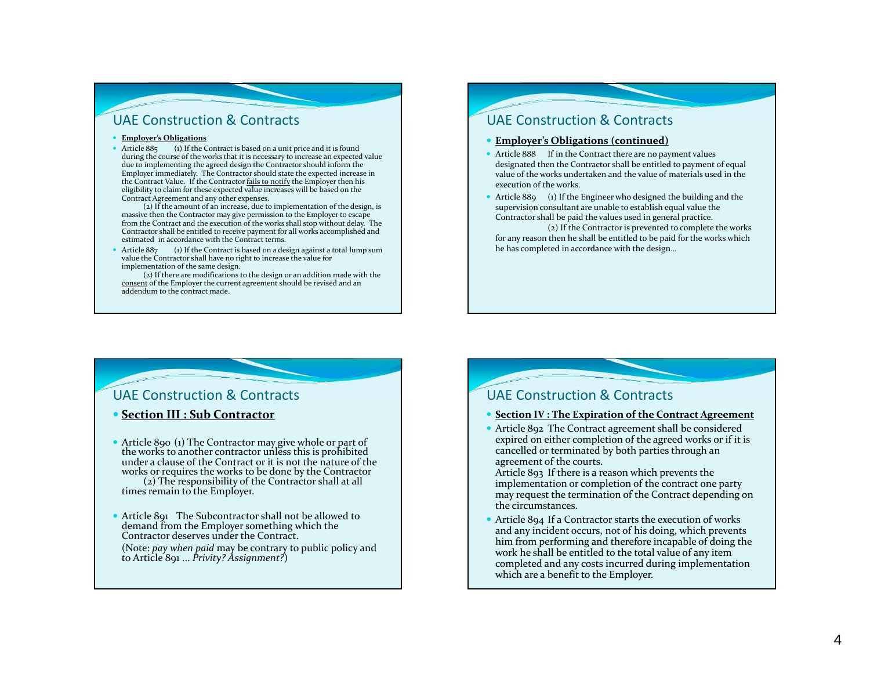#### **Employer's Obligations**

• Article 885 (1) If the Contract is based on a unit price and it is found during the course of the works that it is necessary to increase an expected value due to implementing the agreed design the Contractor should inform the Employer immediately. The Contractor should state the expected increase in the Contract Value. If the Contractor <u>fails to notify</u> the Employer then his eligibility to claim for these expected value increases will be based on the Contract Agreement and any other expenses.

(2) If the amount of an increase, due to implementation of the design, is massive then the Contractor may give permission to the Employer to escape from the Contract and the execution of the works shall stop without delay. The Contractor shall be entitled to receive paymen<sup>t</sup> for all works accomplished and estimated in accordance with the Contract terms.

 $ext{Article } 887$ (1) If the Contract is based on a design against a total lump sum value the Contractor shall have no right to increase the value for implementation of the same design.

(2) If there are modifications to the design or an addition made with the consent of the Employer the current agreement should be revised and an addendum to the contract made.

# UAE Construction & Contracts

#### **Employer's Obligations (continued)**

- Article 888 If in the Contract there are no payment values designated then the Contractor shall be entitled to paymen<sup>t</sup> of equal value of the works undertaken and the value of materials used in the execution of the works.
- Article 889 (1) If the Engineer who designed the building and the supervision consultant are unable to establish equal value the Contractor shall be paid the values used in general practice.

(2) If the Contractor is prevented to complete the works for any reason then he shall be entitled to be paid for the works which he has completed in accordance with the design…

#### UAE Construction & Contracts

#### **Section III : Sub Contractor**

- Article 890 (1) The Contractor may give whole or part of • Article 890 (1) The Contractor may give whole or part of the works to another contractor unless this is prohibited the works to another contractor unless this is prohibited<br>under a clause of the Contract or it is not the nature of the works or requires the works to be done by the Contractor or requires the works to be done by the Contractor (2) The responsibility of the Contractor shall at all times remain to the Employer.
- Article 891 The Subcontractor shall not be allowed to Article <sup>891</sup> The Subcontractor shall not be allowed to demand from the Employer something which the Contractor deserves under the Contract.

(Note: *pay when paid* may be contrary to public policy and to Article 891 ... *Privity? Assignment?*)

#### UAE Construction & Contracts

#### **Section IV : The Expiration of the Contract Agreement**

 Article 892 The Contract agreemen<sup>t</sup> shall be considered expired on either completion of the agreed works or if it is cancelled or terminated by both parties through an agreemen<sup>t</sup> of the courts.

Article 893 If there is <sup>a</sup> reason which prevents the implementation or completion of the contract one party may reques<sup>t</sup> the termination of the Contract depending on the circumstances.

 Article 894 If <sup>a</sup> Contractor starts the execution of works and any incident occurs, not of his doing, which prevents him from performing and therefore incapable of doing the work he shall be entitled to the total value of any item completed and any costs incurred during implementation which are <sup>a</sup> benefit to the Employer.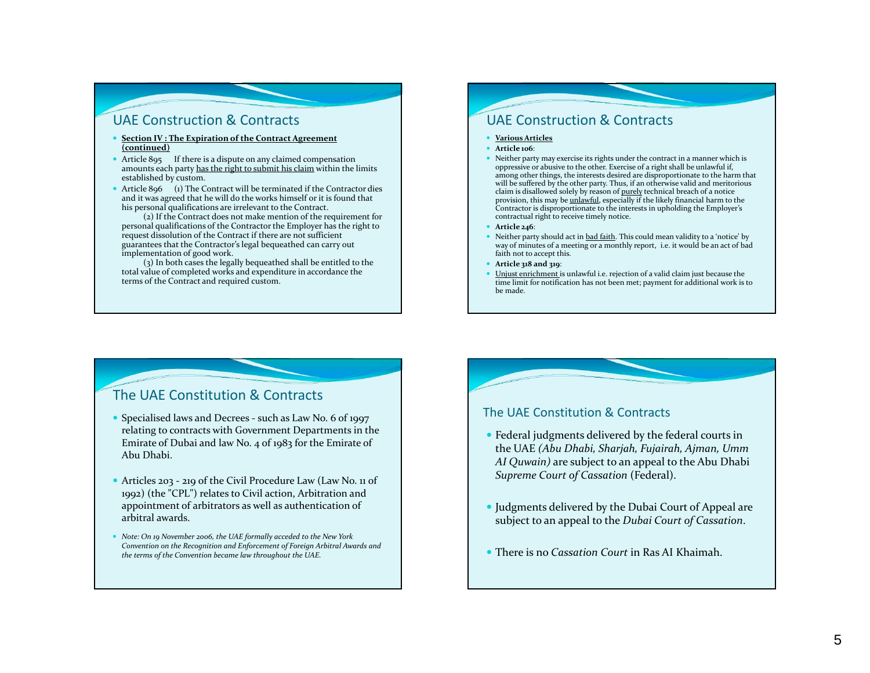- . **Section IV : The Expiration of the Contract Agreement (continued)**
- Article 895 If there is a dispute on any claimed compensation amounts each party <u>has the right to submit his claim</u> within the limits established by custom.
- Article 896 (1) The Contract will be terminated if the Contractor dies and it was agreed that he will do the works himself or it is found that his personal qualifications are irrelevant to the Contract.

(2) If the Contract does not make mention of the requirement for personal qualifications of the Contractor the Employer has the right to reques<sup>t</sup> dissolution of the Contract if there are not sufficient guarantees that the Contractor's legal bequeathed can carry out implementation of good work.

(3) In both cases the legally bequeathed shall be entitled to the total value of completed works and expenditure in accordance the terms of the Contract and required custom.

# UAE Construction & Contracts

- **Various Articles**
- **Article 106**:
- Neither party may exercise its rights under the contract in <sup>a</sup> manner which is oppressive or abusive to the other. Exercise of <sup>a</sup> right shall be unlawful if, among other things, the interests desired are disproportionate to the harm that will be suffered by the other party. Thus, if an otherwise valid and meritorious claim is disallowed solely by reason of <u>purely</u> technical breach of a notice provision, this may be unlawful, especially if the likely financial harm to the Contractor is disproportionate to the interests in upholding the Employer's contractual right to receive timely notice.
- **Article 246**:
- Neither party should act in <u>bad faith</u>. This could mean validity to a 'notice' by way of minutes of a meeting or a monthly report, i.e. it would be an act of bad faith not to accep<sup>t</sup> this.
- **Article 318 and 319**:
- **•** Unjust enrichment is unlawful i.e. rejection of a valid claim just because the time limit for notification has not been met; paymen<sup>t</sup> for additional work is to be made.

# The UAE Constitution & Contracts

- Specialised laws and Decrees such as Law No. 6 of 1997 relating to contracts with Government Departments in the Emirate of Dubai and law No. <sup>4</sup> of 1983 for the Emirate of Abu Dhabi.
- Articles 203 219 of the Civil Procedure Law (Law No. 11 of 1992) (the "CPL") relates to Civil action, Arbitration and appointment of arbitrators as well as authentication of arbitral awards.
- *Note: On 19 November 2006, the UAE formally acceded to the New York Convention on the Recognition and Enforcement of Foreign Arbitral Awards and the terms of the Convention became law throughout the UAE.*

#### The UAE Constitution & Contracts

- Federal judgments delivered by the federal courts in the UAE *(Abu Dhabi, Sharjah, Fujairah, Ajman, Umm AI Quwain)* are subject to an appeal to the Abu Dhabi *Supreme Court of Cassation* (Federal).
- Judgments delivered by the Dubai Court of Appeal are subject to an appeal to the *Dubai Court of Cassation*.
- There is no *Cassation Court* in Ras AI Khaimah.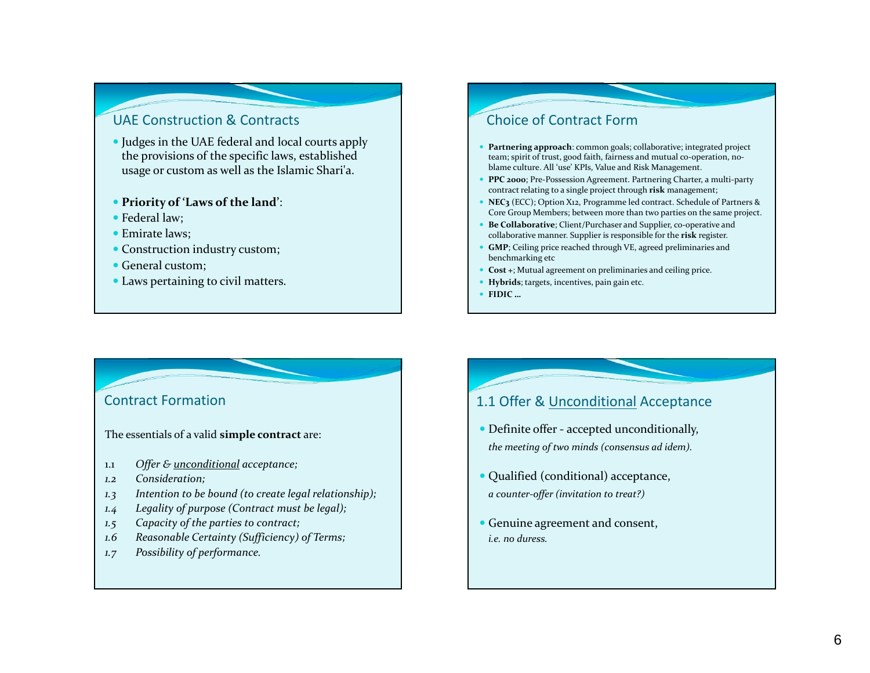- Judges in the UAE federal and local courts apply the provisions of the specific laws, established usage or custom as well as the Islamic Shari'a.
- **Priority of 'Laws of the land'**:
- Federal law;
- Emirate laws;
- Construction industry custom;
- General custom;
- Laws pertaining to civil matters.

# Choice of Contract Form

- **Partnering approach**: common goals; collaborative; integrated project team; spirit of trust, good faith, fairness and mutual co-operation, noblame culture. All 'use' KPIs, Value and Risk Management.
- **PPC <sup>2000</sup>**; Pre‐Possession Agreement. Partnering Charter, <sup>a</sup> multi‐party contract relating to <sup>a</sup> single project through **risk** management;
- **NEC3** (ECC); Option X12, Programme led contract. Schedule of Partners & Core Group Members; between more than two parties on the same project.
- e **Be Collaborative**; Client/Purchaser and Supplier, co‐operative and collaborative manner. Supplier is responsible for the **risk** register.
- **GMP**; Ceiling price reached through VE, agreed preliminaries and benchmarking etc
- ۰ **Cost <sup>+</sup>**; Mutual agreemen<sup>t</sup> on preliminaries and ceiling price.
- **Hybrids**; targets, incentives, pain gain etc.
- **FIDIC …**

# Contract Formation

The essentials of <sup>a</sup> valid **simple contract** are:

- 1.1*Offer & unconditional acceptance;*
- *1.2 Consideration;*
- *1.3 Intention to be bound (to create legal relationship);*
- *1.4 Legality of purpose (Contract must be legal);*
- *1.5 Capacity of the parties to contract;*
- *1.6 Reasonable Certainty (Sufficiency) of Terms;*
- *1.7 Possibility of performance.*

#### n 1.1 1 Offer & Unconditional Acceptance

- Definite offer accepted unconditionally, *the meeting of two minds (consensus ad idem).*
- Qualified (conditional) acceptance, *<sup>a</sup> counter‐offer (invitation to treat?)*
- Genuine agreemen<sup>t</sup> and consent, *i.e. no duress.*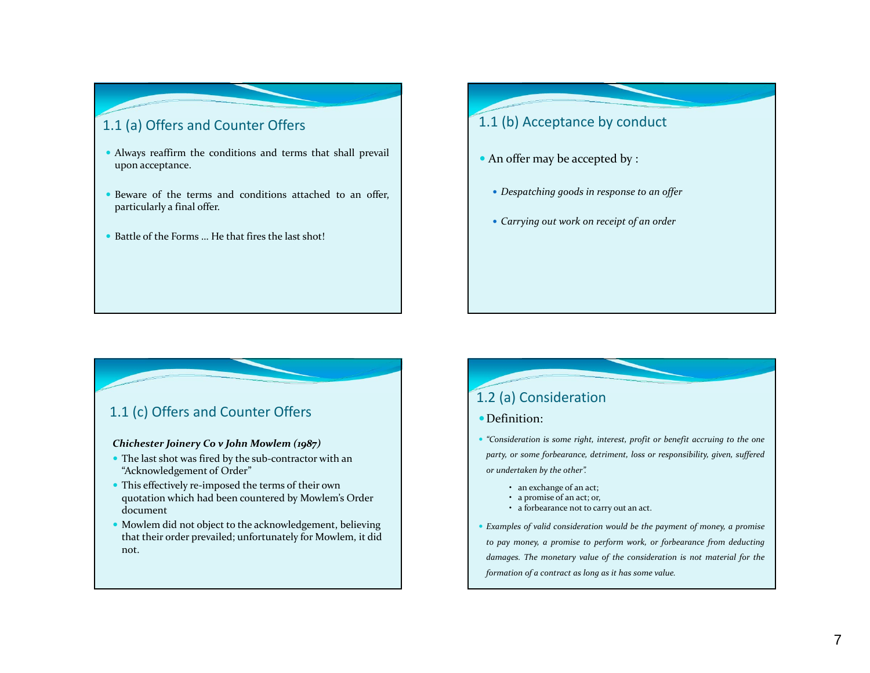# 1.1 (a) Offers and Counter Offers

- Always reaffirm the conditions and terms that shall prevail upon acceptance.
- e Beware of the terms and conditions attached to an offer, particularly <sup>a</sup> final offer.
- Battle of the Forms ... He that fires the last shot!

# 1.1 (b) Acceptance by conduct

- An offer may be accepted by :
	- *Despatching goods in response to an offer*
	- *Carrying out work on receipt of an order*

### 1.1 (c) Offers and Counter Offers

#### *Chichester Joinery Co <sup>v</sup> John Mowlem (1987)*

- The last shot was fired by the sub-contractor with an "Acknowledgement of Order"
- This effectively re-imposed the terms of their own quotation which had been countered by Mowlem's Order document
- Mowlem did not object to the acknowledgement, believing that their order prevailed; unfortunately for Mowlem, it did not.

# 1.2 (a) Consideration

#### Definition:

• "Consideration is some right, interest, profit or benefit accruing to the one party, or some forbearance, detriment, loss or responsibility, given, suffered *or undertaken by the other".*

- an exchange of an act;
- a promise of an act; or,
- a forbearance not to carry out an act.
- Examples of valid consideration would be the payment of money, a promise to pay money, a promise to perform work, or forbearance from deducting damages. The monetary value of the consideration is not material for the *formation of <sup>a</sup> contract as long as it has some value.*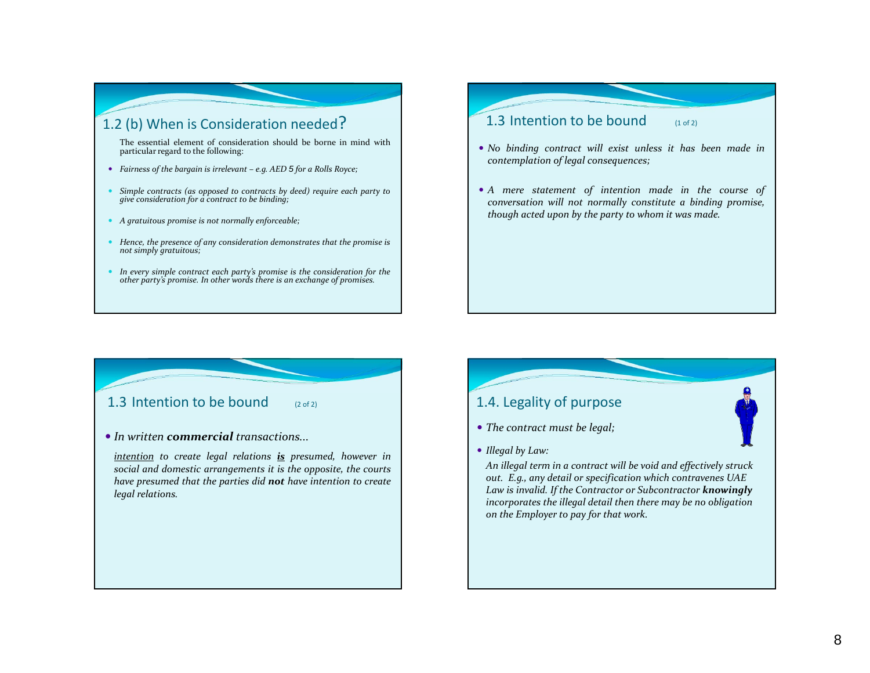# 1.2 (b) When is Consideration needed?

The essential element of consideration should be borne in mind with particular regard to the following:

- Fairness of the bargain is irrelevant e.g. AED  $5$  for a Rolls Royce;
- Simple contracts (as opposed to contracts by deed) require each party to *give consideration for <sup>a</sup> contract to be binding;*
- *A gratuitous promise is not normally enforceable;*
- Hence, the presence of any consideration demonstrates that the promise is *not simply gratuitous;*
- In every simple contract each party's promise is the consideration for the other party's promise. In other words there is an exchange of promises.

#### 1.3 Intention to be bound  $_{(1 of 2)}$

- *No binding contract will exist unless it has been made in contemplation of legal consequences;*
- *A mere statement of intention made in the course of conversation will not normally constitute <sup>a</sup> binding promise, though acted upon by the party to whom it was made.*

#### 1.3 Intention to be bound  $\qquad$   $(2 \text{ of } 2)$

#### *In written commercial transactions...*

*intention to create legal relations is presumed, however in social and domestic arrangements it is the opposite, the courts have presumed that the parties did not have intention to create legal relations.*

# 1.4. Legality of purpose

- *The contract must be legal;*
- *Illegal by Law:*

*An illegal term in <sup>a</sup> contract will be void and effectively struck out. E.g., any detail or specification which contravenes UAE Law is invalid. If the Contractor or Subcontractor knowingly incorporates the illegal detail then there may be no obligation on the Employer to pay for that work.*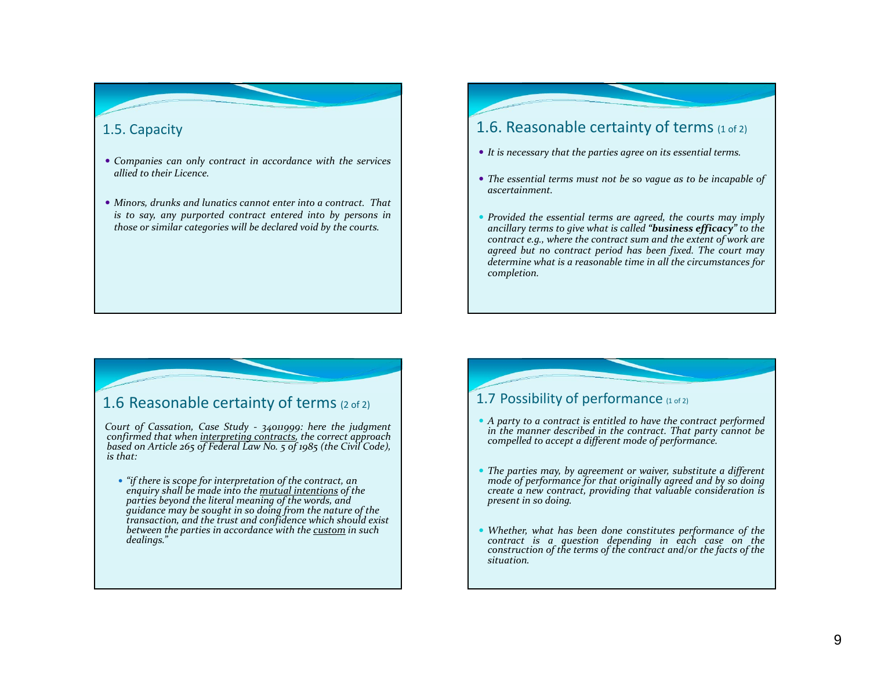# 1.5. Capacity

- *Companies can only contract in accordance with the services allied to their Licence.*
- *Minors, drunks and lunatics cannot enter into <sup>a</sup> contract. That is to say, any purported contract entered into by persons in those or similar categories will be declared void by the courts.*

# 1.6. Reasonable certainty of terms  $_{(1\,0f\,2)}$

- *It is necessary that the parties agree on its essential terms.*
- The essential terms must not be so vague as to be incapable of *ascertainment.*
- *Provided the essential terms are agreed, the courts may imply ancillary terms to give what is called "business efficacy" to the* contract e.g., where the contract sum and the extent of work are *agreed but no contract period has been fixed. The court may determine what is <sup>a</sup> reasonable time in all the circumstances for completion.*

# 1.6 Reasonable certainty of terms (2 of 2)

Court of Cassation, Case Study - 34011999: here the judgment<br>confirmed that when interpreting contracts, the correct approach<br>based on Article 265 of Federal Law No. 5 of 1985 (the Civil Code), *is that:*

 *"if there is scope for interpretation of the contract, an enquiry shall be made into the mutual intentions of the parties beyond the literal meaning of the words, and guidance may be sought in so doing from the nature of the transaction, and the trust and confidence which should exist betweenthe parties in accordance with the custom in such dealings."*

### 1.7 Possibility of performance  $(1 of a)$

- $\bullet$  A party to a contract is entitled to have the contract performed *in the manner described in the contract. That party cannot be compelled to accep<sup>t</sup> <sup>a</sup> different mode of performance.*
- The parties may, by agreement or waiver, substitute a different mode of performance for that originally agreed and by so doing *create <sup>a</sup> new contract, providing that valuable consideration is presen<sup>t</sup> in so doing.*
- O *Whether, what has been done constitutes performance of the contract is <sup>a</sup> question depending in each case on the* construction of the terms of the contract and/or the facts of the *situation.*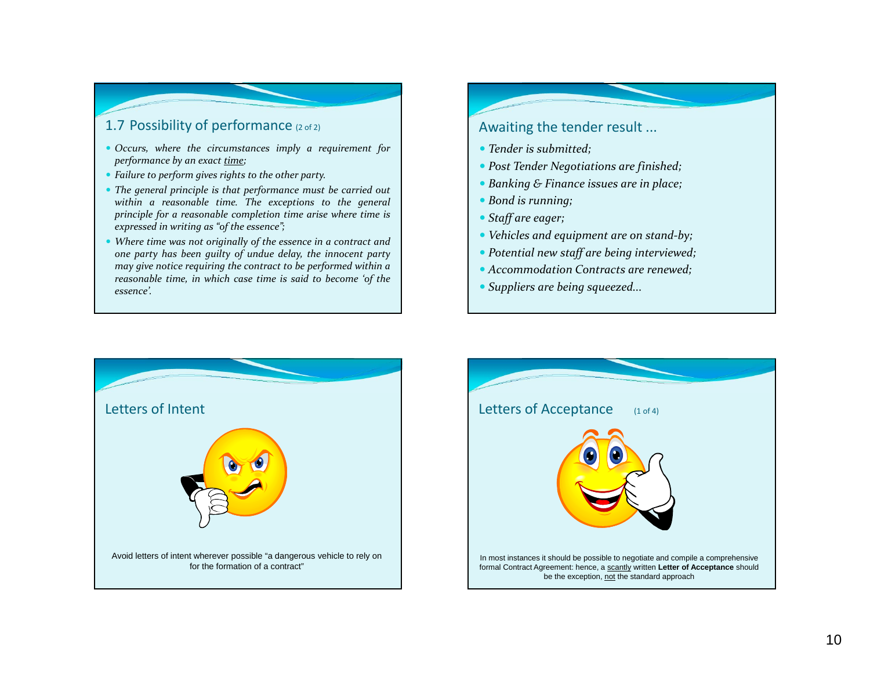# 1.7 Possibility of performance (2 of 2)

- *Occurs, where the circumstances imply <sup>a</sup> requirement for performance by an exact time;*
- *Failure to perform gives rights to the other party.*
- *The general principle is that performance must be carried out within <sup>a</sup> reasonable time. The exceptions to the general principle for <sup>a</sup> reasonable completion time arise where time is expressed in writing as "of the essence";*
- *Where time was not originally of the essence in <sup>a</sup> contract and* one party has been guilty of undue delay, the innocent party *may give notice requiring the contract to be performed within <sup>a</sup> reasonable time, in which case time is said to become 'of the essence'.*

# Awaiting the tender result ...

- *Tender is submitted;*
- *Post Tender Negotiations are finished;*
- *Banking & Finance issues are in place;*
- *Bond is running;*
- *Staff are eager;*
- *Vehicles and equipment are on stand‐by;*
- *Potential new staff are being interviewed;*
- *Accommodation Contracts are renewed;*
- *Suppliers are being squeezed...*



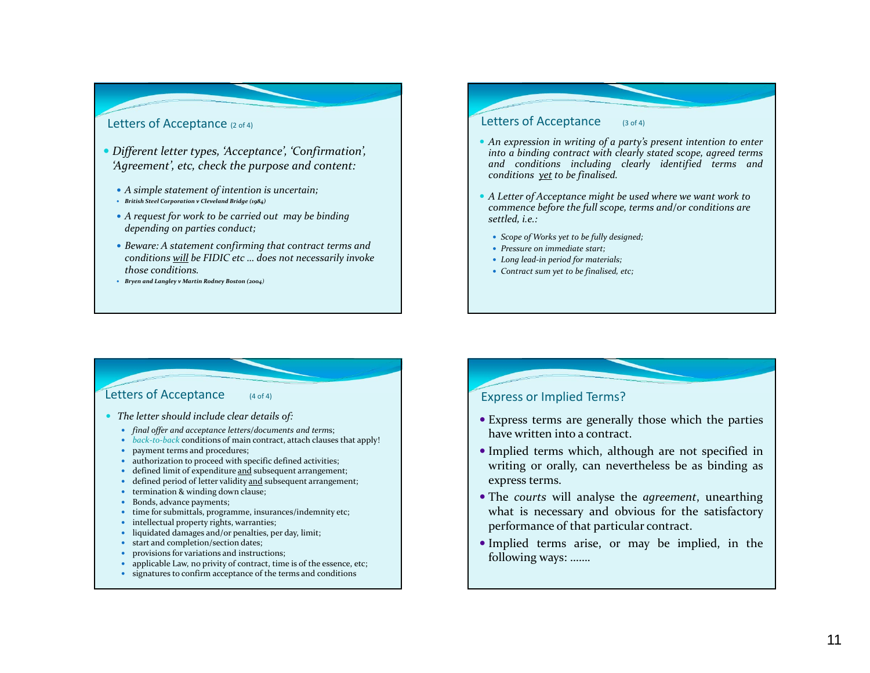#### Letters of Acceptance (2 of 4)

- *Different letter types, 'Acceptance', 'Confirmation', 'Agreement', etc, check the purpose and content:*
	- *A simple statement of intention is uncertain;*
	- *British Steel Corporation <sup>v</sup> Cleveland Bridge (1984)*
	- *A reques<sup>t</sup> for work to be carried out may be binding depending on parties conduct;*
	- *Beware: A statement confirming that contract terms and conditions will be FIDIC etc … does not necessarily invoke those conditions.*
	- *Bryen and Langley <sup>v</sup> Martin Rodney Boston (2004)*

#### Letters of Acceptance (3 of 4)

- An expression in writing of a party's present intention to enter *into <sup>a</sup> binding contract with clearly stated scope, agreed terms and conditions including clearly identified terms and conditions ye<sup>t</sup> to be finalised.*
- *A Letter of Acceptance might be used where we want work to commence before the full scope, terms and/or conditions are settled, i.e.:*
	- *Scope of Works ye<sup>t</sup> to be fully designed;*
	- *Pressure on immediate start;*
	- *Long lead‐in period for materials;*
	- *Contract sum ye<sup>t</sup> to be finalised, etc;*

#### Letters of Acceptance (4 of 4)

- *The letter should include clear details of:*
	- *final offer and acceptance letters/documents and term*s;
	- *back‐to‐back* conditions of main contract, attach clauses that apply!
	- paymen<sup>t</sup> terms and procedures;
	- authorization to proceed with specific defined activities;
	- defined limit of expenditure and subsequent arrangement;
	- $\bullet$ • defined period of letter validity and subsequent arrangement;
	- $\bullet$ **•** termination & winding down clause;
	- $\bullet$ Bonds, advance payments;
	- time for submittals, programme, insurances/indemnity etc;
	- intellectual property rights, warranties;
	- liquidated damages and/or penalties, per day, limit;
	- $\bullet$ • start and completion/section dates;
	- $\bullet$ provisions for variations and instructions;
	- $\bullet$ applicable Law, no privity of contract, time is of the essence, etc;
	- signatures to confirm acceptance of the terms and conditions

#### Express or Implied Terms?

- Express terms are generally those which the parties have written into <sup>a</sup> contract.
- Implied terms which, although are not specified in writing or orally, can nevertheless be as binding as express terms.
- The *courts* will analyse the *agreement*, unearthing what is necessary and obvious for the satisfactory performance of that particular contract.
- Implied terms arise, or may be implied, in the following ways: …….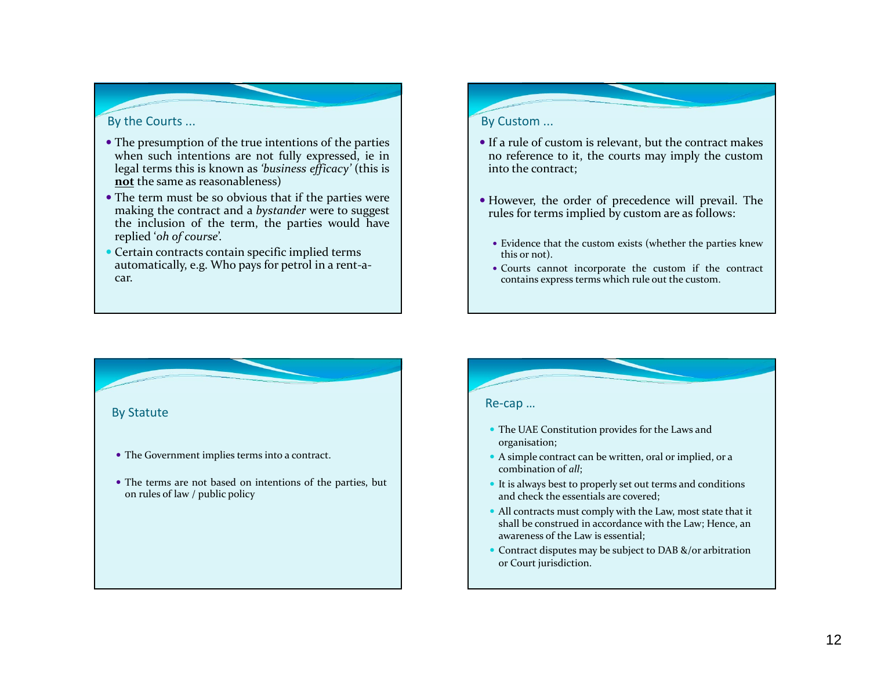#### By the Courts ...

- The presumption of the true intentions of the parties when such intentions are not fully expressed, ie in legal terms this is known as *'business efficacy'* (this is **not** the same as reasonableness)
- The term must be so obvious that if the parties were making the contract and <sup>a</sup> *bystander* were to sugges<sup>t</sup> the inclusion of the term, the parties would have replied '*oh of course*'.
- Certain contracts contain specific implied terms automatically, e.g. Who pays for petrol in <sup>a</sup> rent‐a‐ car.

#### By Custom ...

- If <sup>a</sup> rule of custom is relevant, but the contract makes no reference to it, the courts may imply the custom into the contract;
- However, the order of precedence will prevail. The rules for terms implied by custom are as follows:
	- Evidence that the custom exists (whether the parties knew this or not).
	- Courts cannot incorporate the custom if the contract contains express terms which rule out the custom.



#### Re‐cap …

- The UAE Constitution provides for the Laws and organisation;
- A simple contract can be written, oral or implied, or <sup>a</sup> combination of *all*;
- It is always best to properly set out terms and conditions and check the essentials are covered;
- All contracts must comply with the Law, most state that it shall be construed in accordance with the Law; Hence, an awareness of the Law is essential;
- Contract disputes may be subject to DAB &/or arbitration or Court jurisdiction.